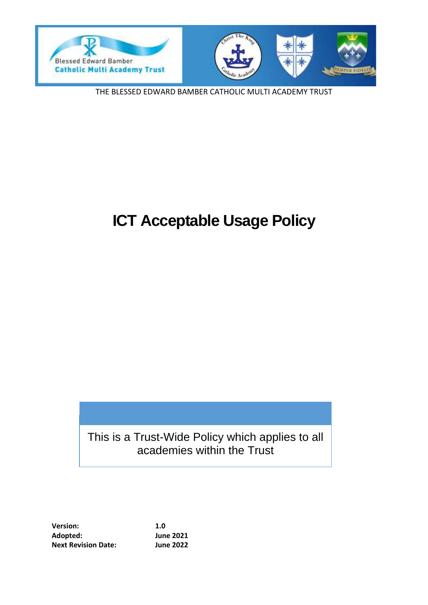



THE BLESSED EDWARD BAMBER CATHOLIC MULTI ACADEMY TRUST

# **ICT Acceptable Usage Policy**

# This is a Trust-Wide Policy which applies to all academies within the Trust

**Version: 1.0 Adopted: June 2021 Next Revision Date: June 2022**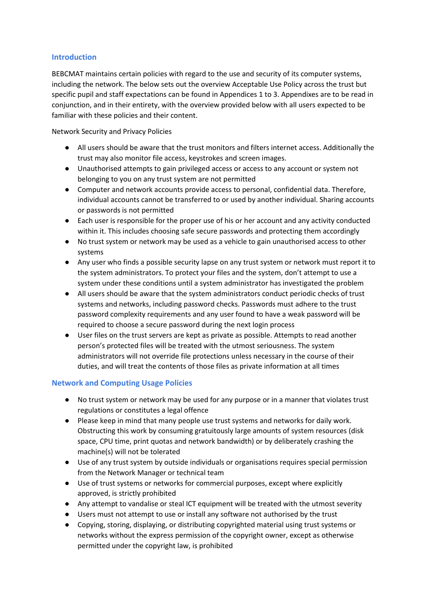#### **Introduction**

BEBCMAT maintains certain policies with regard to the use and security of its computer systems, including the network. The below sets out the overview Acceptable Use Policy across the trust but specific pupil and staff expectations can be found in Appendices 1 to 3. Appendixes are to be read in conjunction, and in their entirety, with the overview provided below with all users expected to be familiar with these policies and their content.

Network Security and Privacy Policies

- All users should be aware that the trust monitors and filters internet access. Additionally the trust may also monitor file access, keystrokes and screen images.
- Unauthorised attempts to gain privileged access or access to any account or system not belonging to you on any trust system are not permitted
- Computer and network accounts provide access to personal, confidential data. Therefore, individual accounts cannot be transferred to or used by another individual. Sharing accounts or passwords is not permitted
- Each user is responsible for the proper use of his or her account and any activity conducted within it. This includes choosing safe secure passwords and protecting them accordingly
- No trust system or network may be used as a vehicle to gain unauthorised access to other systems
- Any user who finds a possible security lapse on any trust system or network must report it to the system administrators. To protect your files and the system, don't attempt to use a system under these conditions until a system administrator has investigated the problem
- All users should be aware that the system administrators conduct periodic checks of trust systems and networks, including password checks. Passwords must adhere to the trust password complexity requirements and any user found to have a weak password will be required to choose a secure password during the next login process
- User files on the trust servers are kept as private as possible. Attempts to read another person's protected files will be treated with the utmost seriousness. The system administrators will not override file protections unless necessary in the course of their duties, and will treat the contents of those files as private information at all times

#### **Network and Computing Usage Policies**

- No trust system or network may be used for any purpose or in a manner that violates trust regulations or constitutes a legal offence
- Please keep in mind that many people use trust systems and networks for daily work. Obstructing this work by consuming gratuitously large amounts of system resources (disk space, CPU time, print quotas and network bandwidth) or by deliberately crashing the machine(s) will not be tolerated
- Use of any trust system by outside individuals or organisations requires special permission from the Network Manager or technical team
- Use of trust systems or networks for commercial purposes, except where explicitly approved, is strictly prohibited
- Any attempt to vandalise or steal ICT equipment will be treated with the utmost severity
- Users must not attempt to use or install any software not authorised by the trust
- Copying, storing, displaying, or distributing copyrighted material using trust systems or networks without the express permission of the copyright owner, except as otherwise permitted under the copyright law, is prohibited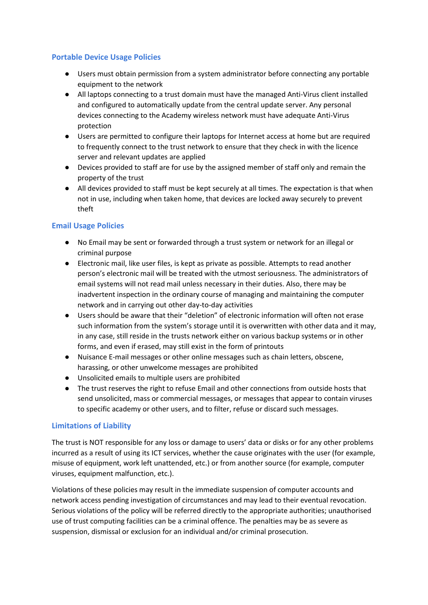#### **Portable Device Usage Policies**

- Users must obtain permission from a system administrator before connecting any portable equipment to the network
- All laptops connecting to a trust domain must have the managed Anti-Virus client installed and configured to automatically update from the central update server. Any personal devices connecting to the Academy wireless network must have adequate Anti-Virus protection
- Users are permitted to configure their laptops for Internet access at home but are required to frequently connect to the trust network to ensure that they check in with the licence server and relevant updates are applied
- Devices provided to staff are for use by the assigned member of staff only and remain the property of the trust
- All devices provided to staff must be kept securely at all times. The expectation is that when not in use, including when taken home, that devices are locked away securely to prevent theft

#### **Email Usage Policies**

- No Email may be sent or forwarded through a trust system or network for an illegal or criminal purpose
- Electronic mail, like user files, is kept as private as possible. Attempts to read another person's electronic mail will be treated with the utmost seriousness. The administrators of email systems will not read mail unless necessary in their duties. Also, there may be inadvertent inspection in the ordinary course of managing and maintaining the computer network and in carrying out other day-to-day activities
- Users should be aware that their "deletion" of electronic information will often not erase such information from the system's storage until it is overwritten with other data and it may, in any case, still reside in the trusts network either on various backup systems or in other forms, and even if erased, may still exist in the form of printouts
- Nuisance E-mail messages or other online messages such as chain letters, obscene, harassing, or other unwelcome messages are prohibited
- Unsolicited emails to multiple users are prohibited
- The trust reserves the right to refuse Email and other connections from outside hosts that send unsolicited, mass or commercial messages, or messages that appear to contain viruses to specific academy or other users, and to filter, refuse or discard such messages.

#### **Limitations of Liability**

The trust is NOT responsible for any loss or damage to users' data or disks or for any other problems incurred as a result of using its ICT services, whether the cause originates with the user (for example, misuse of equipment, work left unattended, etc.) or from another source (for example, computer viruses, equipment malfunction, etc.).

Violations of these policies may result in the immediate suspension of computer accounts and network access pending investigation of circumstances and may lead to their eventual revocation. Serious violations of the policy will be referred directly to the appropriate authorities; unauthorised use of trust computing facilities can be a criminal offence. The penalties may be as severe as suspension, dismissal or exclusion for an individual and/or criminal prosecution.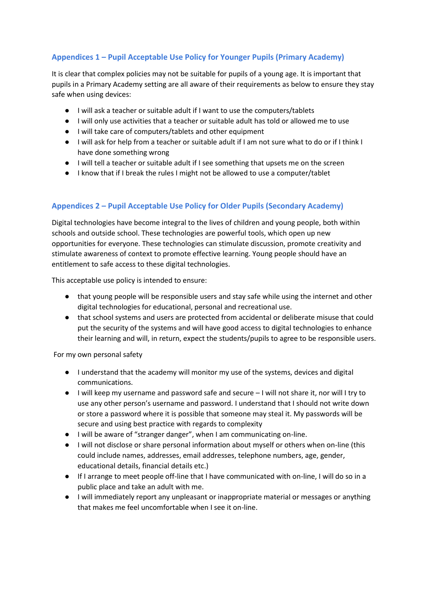## **Appendices 1 – Pupil Acceptable Use Policy for Younger Pupils (Primary Academy)**

It is clear that complex policies may not be suitable for pupils of a young age. It is important that pupils in a Primary Academy setting are all aware of their requirements as below to ensure they stay safe when using devices:

- I will ask a teacher or suitable adult if I want to use the computers/tablets
- I will only use activities that a teacher or suitable adult has told or allowed me to use
- I will take care of computers/tablets and other equipment
- I will ask for help from a teacher or suitable adult if I am not sure what to do or if I think I have done something wrong
- I will tell a teacher or suitable adult if I see something that upsets me on the screen
- I know that if I break the rules I might not be allowed to use a computer/tablet

### **Appendices 2 – Pupil Acceptable Use Policy for Older Pupils (Secondary Academy)**

Digital technologies have become integral to the lives of children and young people, both within schools and outside school. These technologies are powerful tools, which open up new opportunities for everyone. These technologies can stimulate discussion, promote creativity and stimulate awareness of context to promote effective learning. Young people should have an entitlement to safe access to these digital technologies.

This acceptable use policy is intended to ensure:

- that young people will be responsible users and stay safe while using the internet and other digital technologies for educational, personal and recreational use.
- that school systems and users are protected from accidental or deliberate misuse that could put the security of the systems and will have good access to digital technologies to enhance their learning and will, in return, expect the students/pupils to agree to be responsible users.

For my own personal safety

- I understand that the academy will monitor my use of the systems, devices and digital communications.
- I will keep my username and password safe and secure I will not share it, nor will I try to use any other person's username and password. I understand that I should not write down or store a password where it is possible that someone may steal it. My passwords will be secure and using best practice with regards to complexity
- I will be aware of "stranger danger", when I am communicating on-line.
- I will not disclose or share personal information about myself or others when on-line (this could include names, addresses, email addresses, telephone numbers, age, gender, educational details, financial details etc.)
- If I arrange to meet people off-line that I have communicated with on-line, I will do so in a public place and take an adult with me.
- I will immediately report any unpleasant or inappropriate material or messages or anything that makes me feel uncomfortable when I see it on-line.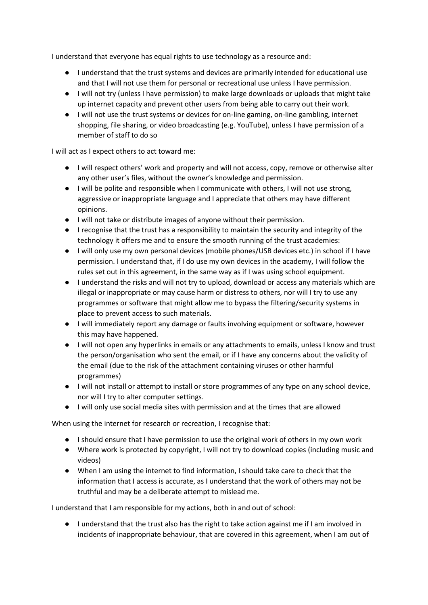I understand that everyone has equal rights to use technology as a resource and:

- I understand that the trust systems and devices are primarily intended for educational use and that I will not use them for personal or recreational use unless I have permission.
- I will not try (unless I have permission) to make large downloads or uploads that might take up internet capacity and prevent other users from being able to carry out their work.
- I will not use the trust systems or devices for on-line gaming, on-line gambling, internet shopping, file sharing, or video broadcasting (e.g. YouTube), unless I have permission of a member of staff to do so

I will act as I expect others to act toward me:

- I will respect others' work and property and will not access, copy, remove or otherwise alter any other user's files, without the owner's knowledge and permission.
- I will be polite and responsible when I communicate with others, I will not use strong, aggressive or inappropriate language and I appreciate that others may have different opinions.
- I will not take or distribute images of anyone without their permission.
- I recognise that the trust has a responsibility to maintain the security and integrity of the technology it offers me and to ensure the smooth running of the trust academies:
- I will only use my own personal devices (mobile phones/USB devices etc.) in school if I have permission. I understand that, if I do use my own devices in the academy, I will follow the rules set out in this agreement, in the same way as if I was using school equipment.
- I understand the risks and will not try to upload, download or access any materials which are illegal or inappropriate or may cause harm or distress to others, nor will I try to use any programmes or software that might allow me to bypass the filtering/security systems in place to prevent access to such materials.
- I will immediately report any damage or faults involving equipment or software, however this may have happened.
- I will not open any hyperlinks in emails or any attachments to emails, unless I know and trust the person/organisation who sent the email, or if I have any concerns about the validity of the email (due to the risk of the attachment containing viruses or other harmful programmes)
- I will not install or attempt to install or store programmes of any type on any school device, nor will I try to alter computer settings.
- I will only use social media sites with permission and at the times that are allowed

When using the internet for research or recreation, I recognise that:

- I should ensure that I have permission to use the original work of others in my own work
- Where work is protected by copyright, I will not try to download copies (including music and videos)
- When I am using the internet to find information, I should take care to check that the information that I access is accurate, as I understand that the work of others may not be truthful and may be a deliberate attempt to mislead me.

I understand that I am responsible for my actions, both in and out of school:

● I understand that the trust also has the right to take action against me if I am involved in incidents of inappropriate behaviour, that are covered in this agreement, when I am out of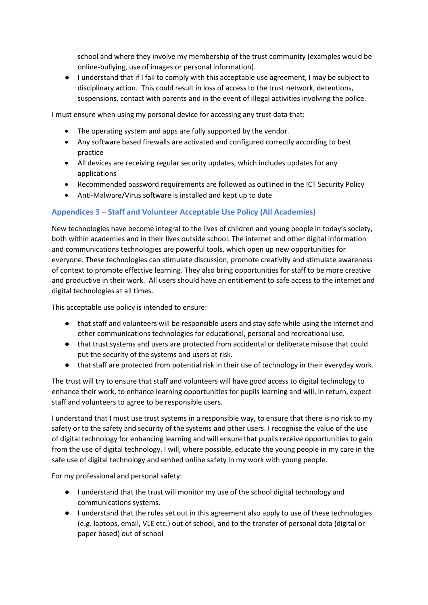school and where they involve my membership of the trust community (examples would be online-bullying, use of images or personal information).

● I understand that if I fail to comply with this acceptable use agreement, I may be subject to disciplinary action. This could result in loss of access to the trust network, detentions, suspensions, contact with parents and in the event of illegal activities involving the police.

I must ensure when using my personal device for accessing any trust data that:

- The operating system and apps are fully supported by the vendor.
- Any software based firewalls are activated and configured correctly according to best practice
- All devices are receiving regular security updates, which includes updates for any applications
- Recommended password requirements are followed as outlined in the ICT Security Policy
- Anti-Malware/Virus software is installed and kept up to date

#### **Appendices 3 – Staff and Volunteer Acceptable Use Policy (All Academies)**

New technologies have become integral to the lives of children and young people in today's society, both within academies and in their lives outside school. The internet and other digital information and communications technologies are powerful tools, which open up new opportunities for everyone. These technologies can stimulate discussion, promote creativity and stimulate awareness of context to promote effective learning. They also bring opportunities for staff to be more creative and productive in their work. All users should have an entitlement to safe access to the internet and digital technologies at all times.

This acceptable use policy is intended to ensure:

- that staff and volunteers will be responsible users and stay safe while using the internet and other communications technologies for educational, personal and recreational use.
- that trust systems and users are protected from accidental or deliberate misuse that could put the security of the systems and users at risk.
- that staff are protected from potential risk in their use of technology in their everyday work.

The trust will try to ensure that staff and volunteers will have good access to digital technology to enhance their work, to enhance learning opportunities for pupils learning and will, in return, expect staff and volunteers to agree to be responsible users.

I understand that I must use trust systems in a responsible way, to ensure that there is no risk to my safety or to the safety and security of the systems and other users. I recognise the value of the use of digital technology for enhancing learning and will ensure that pupils receive opportunities to gain from the use of digital technology. I will, where possible, educate the young people in my care in the safe use of digital technology and embed online safety in my work with young people.

For my professional and personal safety:

- I understand that the trust will monitor my use of the school digital technology and communications systems.
- I understand that the rules set out in this agreement also apply to use of these technologies (e.g. laptops, email, VLE etc.) out of school, and to the transfer of personal data (digital or paper based) out of school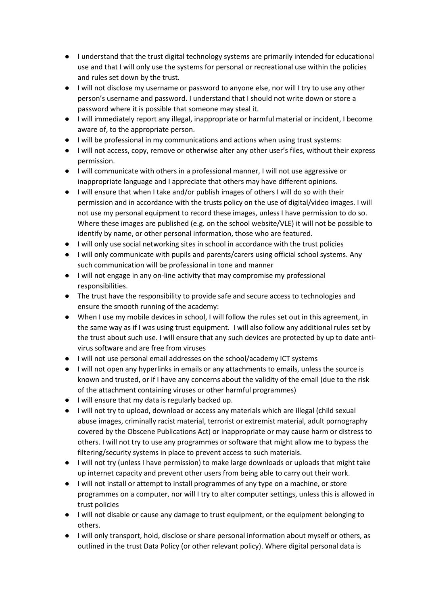- I understand that the trust digital technology systems are primarily intended for educational use and that I will only use the systems for personal or recreational use within the policies and rules set down by the trust.
- I will not disclose my username or password to anyone else, nor will I try to use any other person's username and password. I understand that I should not write down or store a password where it is possible that someone may steal it.
- I will immediately report any illegal, inappropriate or harmful material or incident, I become aware of, to the appropriate person.
- I will be professional in my communications and actions when using trust systems:
- I will not access, copy, remove or otherwise alter any other user's files, without their express permission.
- I will communicate with others in a professional manner, I will not use aggressive or inappropriate language and I appreciate that others may have different opinions.
- I will ensure that when I take and/or publish images of others I will do so with their permission and in accordance with the trusts policy on the use of digital/video images. I will not use my personal equipment to record these images, unless I have permission to do so. Where these images are published (e.g. on the school website/VLE) it will not be possible to identify by name, or other personal information, those who are featured.
- I will only use social networking sites in school in accordance with the trust policies
- I will only communicate with pupils and parents/carers using official school systems. Any such communication will be professional in tone and manner
- I will not engage in any on-line activity that may compromise my professional responsibilities.
- The trust have the responsibility to provide safe and secure access to technologies and ensure the smooth running of the academy:
- When I use my mobile devices in school, I will follow the rules set out in this agreement, in the same way as if I was using trust equipment. I will also follow any additional rules set by the trust about such use. I will ensure that any such devices are protected by up to date antivirus software and are free from viruses
- I will not use personal email addresses on the school/academy ICT systems
- I will not open any hyperlinks in emails or any attachments to emails, unless the source is known and trusted, or if I have any concerns about the validity of the email (due to the risk of the attachment containing viruses or other harmful programmes)
- I will ensure that my data is regularly backed up.
- I will not try to upload, download or access any materials which are illegal (child sexual abuse images, criminally racist material, terrorist or extremist material, adult pornography covered by the Obscene Publications Act) or inappropriate or may cause harm or distress to others. I will not try to use any programmes or software that might allow me to bypass the filtering/security systems in place to prevent access to such materials.
- I will not try (unless I have permission) to make large downloads or uploads that might take up internet capacity and prevent other users from being able to carry out their work.
- I will not install or attempt to install programmes of any type on a machine, or store programmes on a computer, nor will I try to alter computer settings, unless this is allowed in trust policies
- I will not disable or cause any damage to trust equipment, or the equipment belonging to others.
- I will only transport, hold, disclose or share personal information about myself or others, as outlined in the trust Data Policy (or other relevant policy). Where digital personal data is